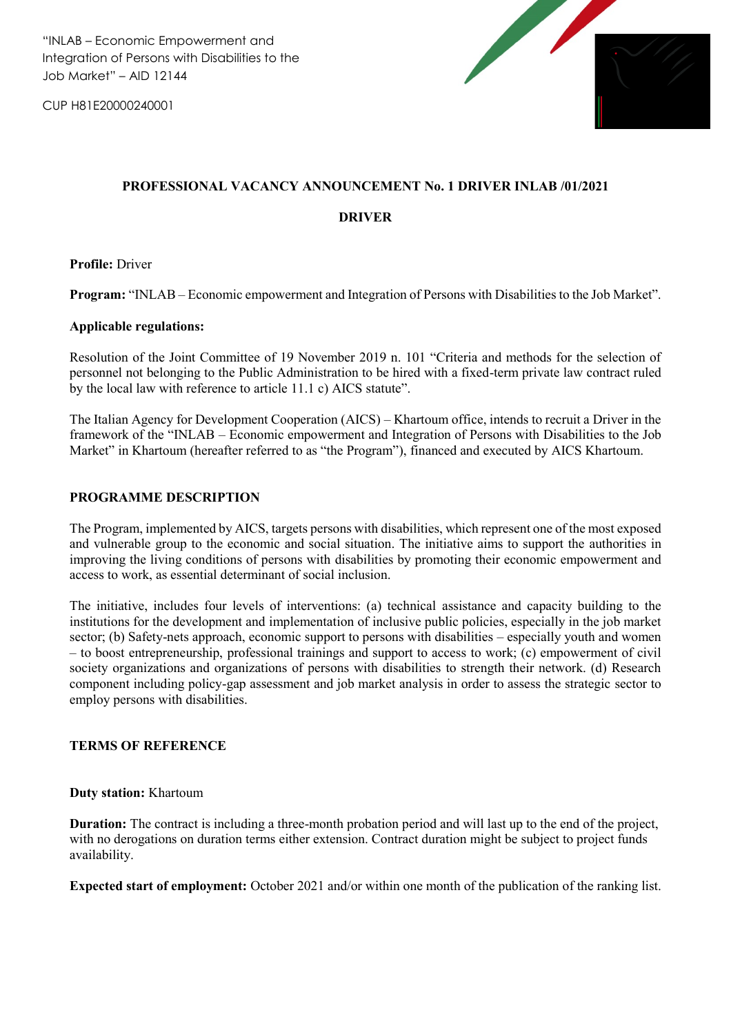"INLAB – Economic Empowerment and Integration of Persons with Disabilities to the Job Market" – AID 12144

CUP H81E20000240001



### **PROFESSIONAL VACANCY ANNOUNCEMENT No. 1 DRIVER INLAB /01/2021**

#### **DRIVER**

**Profile:** Driver

**Program:** "INLAB – Economic empowerment and Integration of Persons with Disabilities to the Job Market".

### **Applicable regulations:**

Resolution of the Joint Committee of 19 November 2019 n. 101 "Criteria and methods for the selection of personnel not belonging to the Public Administration to be hired with a fixed-term private law contract ruled by the local law with reference to article 11.1 c) AICS statute".

The Italian Agency for Development Cooperation (AICS) – Khartoum office, intends to recruit a Driver in the framework of the "INLAB – Economic empowerment and Integration of Persons with Disabilities to the Job Market" in Khartoum (hereafter referred to as "the Program"), financed and executed by AICS Khartoum.

### **PROGRAMME DESCRIPTION**

The Program, implemented by AICS, targets persons with disabilities, which represent one of the most exposed and vulnerable group to the economic and social situation. The initiative aims to support the authorities in improving the living conditions of persons with disabilities by promoting their economic empowerment and access to work, as essential determinant of social inclusion.

The initiative, includes four levels of interventions: (a) technical assistance and capacity building to the institutions for the development and implementation of inclusive public policies, especially in the job market sector; (b) Safety-nets approach, economic support to persons with disabilities – especially youth and women – to boost entrepreneurship, professional trainings and support to access to work; (c) empowerment of civil society organizations and organizations of persons with disabilities to strength their network. (d) Research component including policy-gap assessment and job market analysis in order to assess the strategic sector to employ persons with disabilities.

#### **TERMS OF REFERENCE**

#### **Duty station:** Khartoum

**Duration:** The contract is including a three-month probation period and will last up to the end of the project, with no derogations on duration terms either extension. Contract duration might be subject to project funds availability.

**Expected start of employment:** October 2021 and/or within one month of the publication of the ranking list.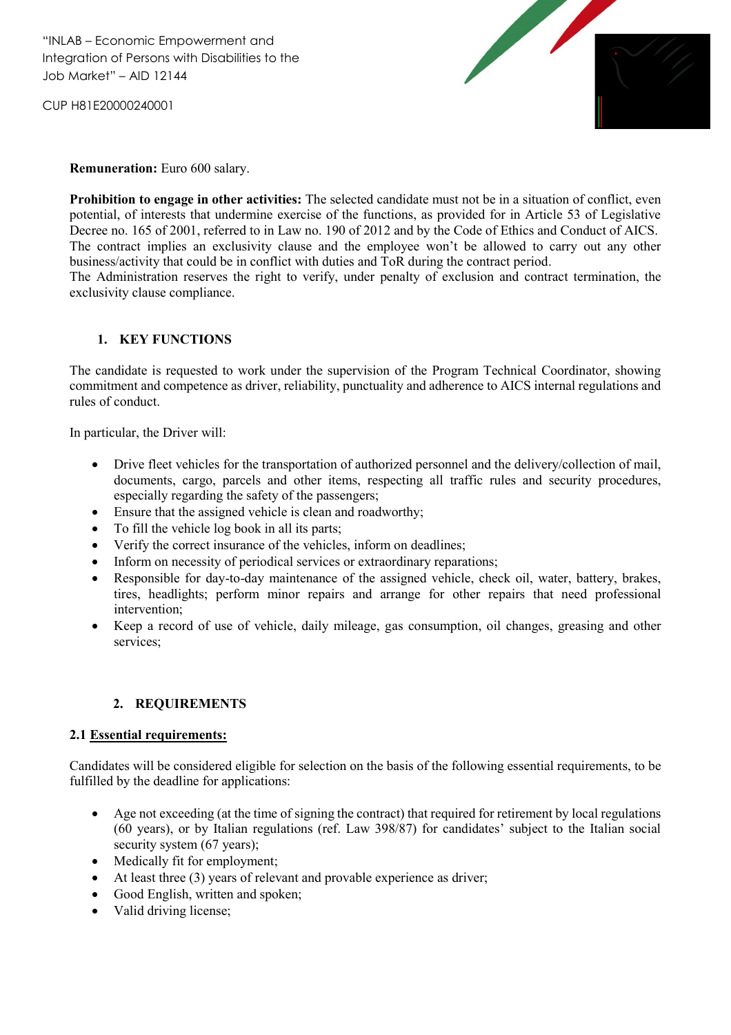CUP H81E20000240001



#### **Remuneration:** Euro 600 salary.

**Prohibition to engage in other activities:** The selected candidate must not be in a situation of conflict, even potential, of interests that undermine exercise of the functions, as provided for in Article 53 of Legislative Decree no. 165 of 2001, referred to in Law no. 190 of 2012 and by the Code of Ethics and Conduct of AICS. The contract implies an exclusivity clause and the employee won't be allowed to carry out any other business/activity that could be in conflict with duties and ToR during the contract period.

The Administration reserves the right to verify, under penalty of exclusion and contract termination, the exclusivity clause compliance.

## **1. KEY FUNCTIONS**

The candidate is requested to work under the supervision of the Program Technical Coordinator, showing commitment and competence as driver, reliability, punctuality and adherence to AICS internal regulations and rules of conduct.

In particular, the Driver will:

- Drive fleet vehicles for the transportation of authorized personnel and the delivery/collection of mail, documents, cargo, parcels and other items, respecting all traffic rules and security procedures, especially regarding the safety of the passengers;
- Ensure that the assigned vehicle is clean and roadworthy;
- To fill the vehicle log book in all its parts;
- Verify the correct insurance of the vehicles, inform on deadlines;
- Inform on necessity of periodical services or extraordinary reparations;
- Responsible for day-to-day maintenance of the assigned vehicle, check oil, water, battery, brakes, tires, headlights; perform minor repairs and arrange for other repairs that need professional intervention;
- Keep a record of use of vehicle, daily mileage, gas consumption, oil changes, greasing and other services;

#### **2. REQUIREMENTS**

#### **2.1 Essential requirements:**

Candidates will be considered eligible for selection on the basis of the following essential requirements, to be fulfilled by the deadline for applications:

- Age not exceeding (at the time of signing the contract) that required for retirement by local regulations (60 years), or by Italian regulations (ref. Law 398/87) for candidates' subject to the Italian social security system (67 years);
- Medically fit for employment;
- At least three (3) years of relevant and provable experience as driver;
- Good English, written and spoken;
- Valid driving license;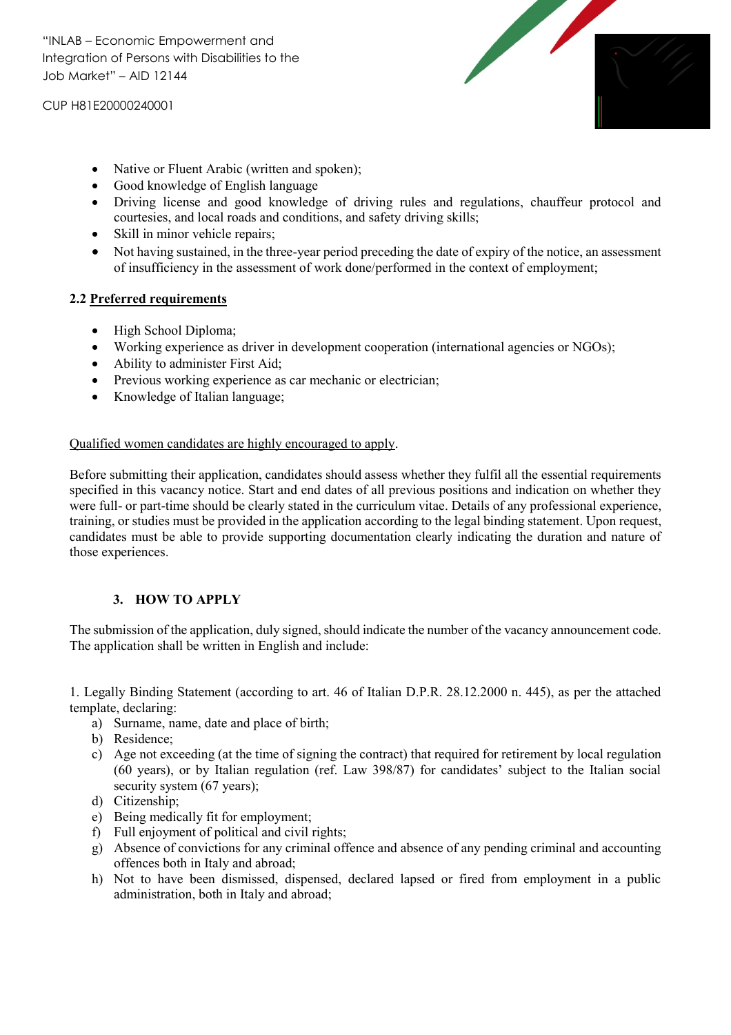"INLAB – Economic Empowerment and Integration of Persons with Disabilities to the Job Market" – AID 12144

CUP H81E20000240001



- Native or Fluent Arabic (written and spoken);
- Good knowledge of English language
- Driving license and good knowledge of driving rules and regulations, chauffeur protocol and courtesies, and local roads and conditions, and safety driving skills;
- Skill in minor vehicle repairs;
- Not having sustained, in the three-year period preceding the date of expiry of the notice, an assessment of insufficiency in the assessment of work done/performed in the context of employment;

# **2.2 Preferred requirements**

- High School Diploma;
- Working experience as driver in development cooperation (international agencies or NGOs);
- Ability to administer First Aid;
- Previous working experience as car mechanic or electrician;
- Knowledge of Italian language;

## Qualified women candidates are highly encouraged to apply.

Before submitting their application, candidates should assess whether they fulfil all the essential requirements specified in this vacancy notice. Start and end dates of all previous positions and indication on whether they were full- or part-time should be clearly stated in the curriculum vitae. Details of any professional experience, training, or studies must be provided in the application according to the legal binding statement. Upon request, candidates must be able to provide supporting documentation clearly indicating the duration and nature of those experiences.

## **3. HOW TO APPLY**

The submission of the application, duly signed, should indicate the number of the vacancy announcement code. The application shall be written in English and include:

1. Legally Binding Statement (according to art. 46 of Italian D.P.R. 28.12.2000 n. 445), as per the attached template, declaring:

- a) Surname, name, date and place of birth;
- b) Residence;
- c) Age not exceeding (at the time of signing the contract) that required for retirement by local regulation (60 years), or by Italian regulation (ref. Law 398/87) for candidates' subject to the Italian social security system (67 years);
- d) Citizenship;
- e) Being medically fit for employment;
- f) Full enjoyment of political and civil rights;
- g) Absence of convictions for any criminal offence and absence of any pending criminal and accounting offences both in Italy and abroad;
- h) Not to have been dismissed, dispensed, declared lapsed or fired from employment in a public administration, both in Italy and abroad;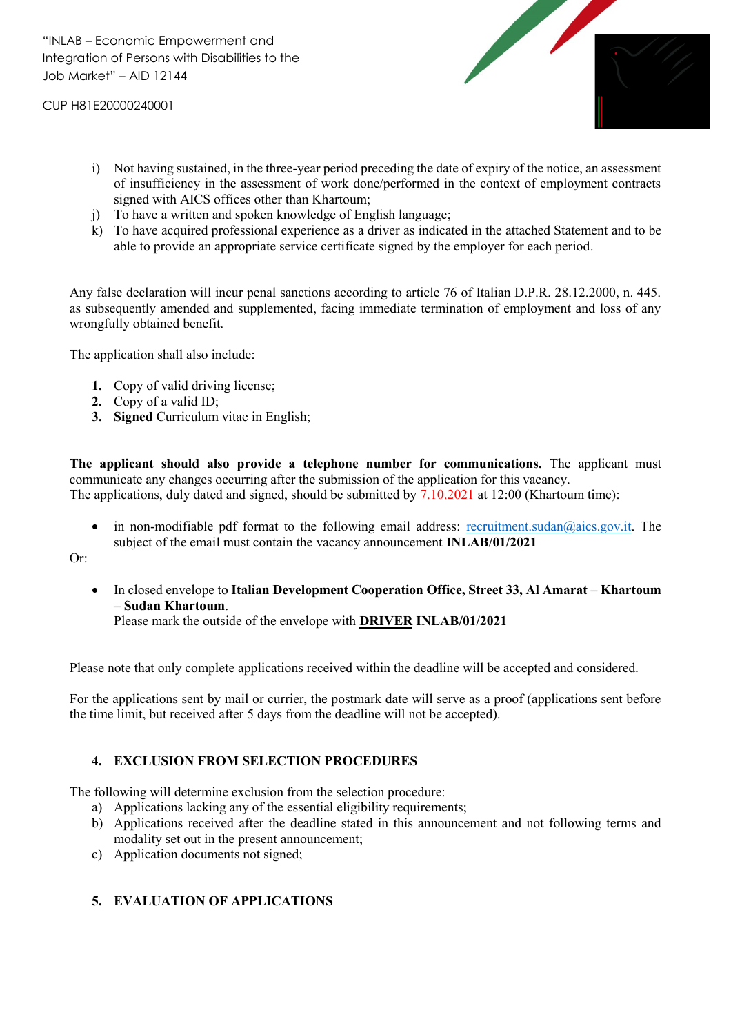CUP H81E20000240001



- i) Not having sustained, in the three-year period preceding the date of expiry of the notice, an assessment of insufficiency in the assessment of work done/performed in the context of employment contracts signed with AICS offices other than Khartoum;
- j) To have a written and spoken knowledge of English language;
- k) To have acquired professional experience as a driver as indicated in the attached Statement and to be able to provide an appropriate service certificate signed by the employer for each period.

Any false declaration will incur penal sanctions according to article 76 of Italian D.P.R. 28.12.2000, n. 445. as subsequently amended and supplemented, facing immediate termination of employment and loss of any wrongfully obtained benefit.

The application shall also include:

- **1.** Copy of valid driving license;
- **2.** Copy of a valid ID;
- **3. Signed** Curriculum vitae in English;

**The applicant should also provide a telephone number for communications.** The applicant must communicate any changes occurring after the submission of the application for this vacancy. The applications, duly dated and signed, should be submitted by 7.10.2021 at 12:00 (Khartoum time):

• in non-modifiable pdf format to the following email address: [recruitment.sudan@aics.gov.it.](mailto:recruitment.sudan@aics.gov.it) The subject of the email must contain the vacancy announcement **INLAB/01/2021**

Or:

 In closed envelope to **Italian Development Cooperation Office, Street 33, Al Amarat – Khartoum – Sudan Khartoum**.

Please mark the outside of the envelope with **DRIVER INLAB/01/2021**

Please note that only complete applications received within the deadline will be accepted and considered.

For the applications sent by mail or currier, the postmark date will serve as a proof (applications sent before the time limit, but received after 5 days from the deadline will not be accepted).

## **4. EXCLUSION FROM SELECTION PROCEDURES**

The following will determine exclusion from the selection procedure:

- a) Applications lacking any of the essential eligibility requirements;
- b) Applications received after the deadline stated in this announcement and not following terms and modality set out in the present announcement;
- c) Application documents not signed;

## **5. EVALUATION OF APPLICATIONS**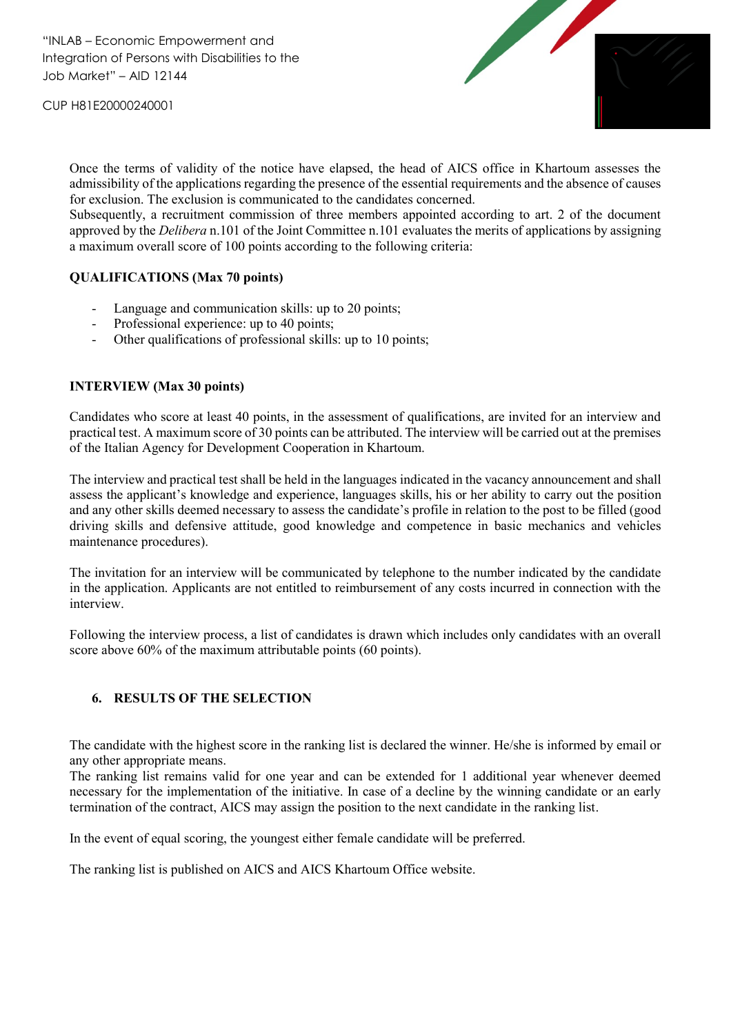CUP H81E20000240001



Once the terms of validity of the notice have elapsed, the head of AICS office in Khartoum assesses the admissibility of the applications regarding the presence of the essential requirements and the absence of causes for exclusion. The exclusion is communicated to the candidates concerned.

Subsequently, a recruitment commission of three members appointed according to art. 2 of the document approved by the *Delibera* n.101 of the Joint Committee n.101 evaluates the merits of applications by assigning a maximum overall score of 100 points according to the following criteria:

### **QUALIFICATIONS (Max 70 points)**

- Language and communication skills: up to 20 points;
- Professional experience: up to 40 points;
- Other qualifications of professional skills: up to 10 points;

### **INTERVIEW (Max 30 points)**

Candidates who score at least 40 points, in the assessment of qualifications, are invited for an interview and practical test. A maximum score of 30 points can be attributed. The interview will be carried out at the premises of the Italian Agency for Development Cooperation in Khartoum.

The interview and practical test shall be held in the languages indicated in the vacancy announcement and shall assess the applicant's knowledge and experience, languages skills, his or her ability to carry out the position and any other skills deemed necessary to assess the candidate's profile in relation to the post to be filled (good driving skills and defensive attitude, good knowledge and competence in basic mechanics and vehicles maintenance procedures).

The invitation for an interview will be communicated by telephone to the number indicated by the candidate in the application. Applicants are not entitled to reimbursement of any costs incurred in connection with the interview.

Following the interview process, a list of candidates is drawn which includes only candidates with an overall score above 60% of the maximum attributable points (60 points).

## **6. RESULTS OF THE SELECTION**

The candidate with the highest score in the ranking list is declared the winner. He/she is informed by email or any other appropriate means.

The ranking list remains valid for one year and can be extended for 1 additional year whenever deemed necessary for the implementation of the initiative. In case of a decline by the winning candidate or an early termination of the contract, AICS may assign the position to the next candidate in the ranking list.

In the event of equal scoring, the youngest either female candidate will be preferred.

The ranking list is published on AICS and AICS Khartoum Office website.